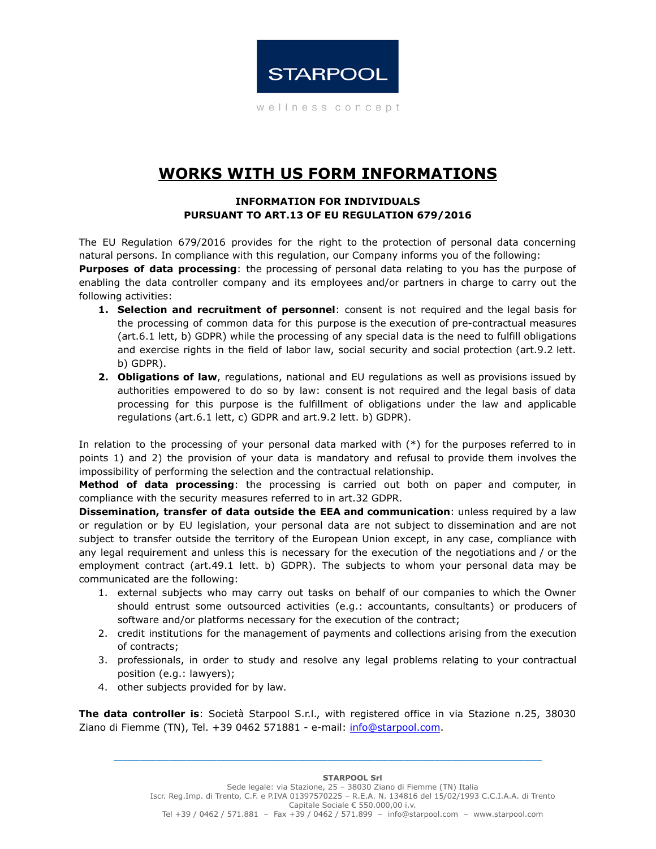

wellness concept

## **WORKS WITH US FORM INFORMATIONS**

## **INFORMATION FOR INDIVIDUALS PURSUANT TO ART.13 OF EU REGULATION 679/2016**

The EU Regulation 679/2016 provides for the right to the protection of personal data concerning natural persons. In compliance with this regulation, our Company informs you of the following:

**Purposes of data processing**: the processing of personal data relating to you has the purpose of enabling the data controller company and its employees and/or partners in charge to carry out the following activities:

- **1. Selection and recruitment of personnel**: consent is not required and the legal basis for the processing of common data for this purpose is the execution of pre-contractual measures (art.6.1 lett, b) GDPR) while the processing of any special data is the need to fulfill obligations and exercise rights in the field of labor law, social security and social protection (art.9.2 lett. b) GDPR).
- **2. Obligations of law**, regulations, national and EU regulations as well as provisions issued by authorities empowered to do so by law: consent is not required and the legal basis of data processing for this purpose is the fulfillment of obligations under the law and applicable regulations (art.6.1 lett, c) GDPR and art.9.2 lett. b) GDPR).

In relation to the processing of your personal data marked with (\*) for the purposes referred to in points 1) and 2) the provision of your data is mandatory and refusal to provide them involves the impossibility of performing the selection and the contractual relationship.

**Method of data processing**: the processing is carried out both on paper and computer, in compliance with the security measures referred to in art.32 GDPR.

**Dissemination, transfer of data outside the EEA and communication**: unless required by a law or regulation or by EU legislation, your personal data are not subject to dissemination and are not subject to transfer outside the territory of the European Union except, in any case, compliance with any legal requirement and unless this is necessary for the execution of the negotiations and / or the employment contract (art.49.1 lett. b) GDPR). The subjects to whom your personal data may be communicated are the following:

- 1. external subjects who may carry out tasks on behalf of our companies to which the Owner should entrust some outsourced activities (e.g.: accountants, consultants) or producers of software and/or platforms necessary for the execution of the contract;
- 2. credit institutions for the management of payments and collections arising from the execution of contracts;
- 3. professionals, in order to study and resolve any legal problems relating to your contractual position (e.g.: lawyers);
- 4. other subjects provided for by law.

**The data controller is**: Società Starpool S.r.l., with registered office in via Stazione n.25, 38030 Ziano di Fiemme (TN), Tel. +39 0462 571881 - e-mail: [info@starpool.com](mailto:info@starpool.com).

\_\_\_\_\_\_\_\_\_\_\_\_\_\_\_\_\_\_\_\_\_\_\_\_\_\_\_\_\_\_\_\_\_\_\_\_\_\_\_\_\_\_\_\_\_\_\_\_\_\_\_\_\_\_\_\_\_\_\_\_\_\_\_\_\_\_\_\_\_\_\_\_\_\_\_\_\_\_\_\_\_\_\_\_\_\_\_\_\_\_\_\_\_\_\_\_\_\_\_\_